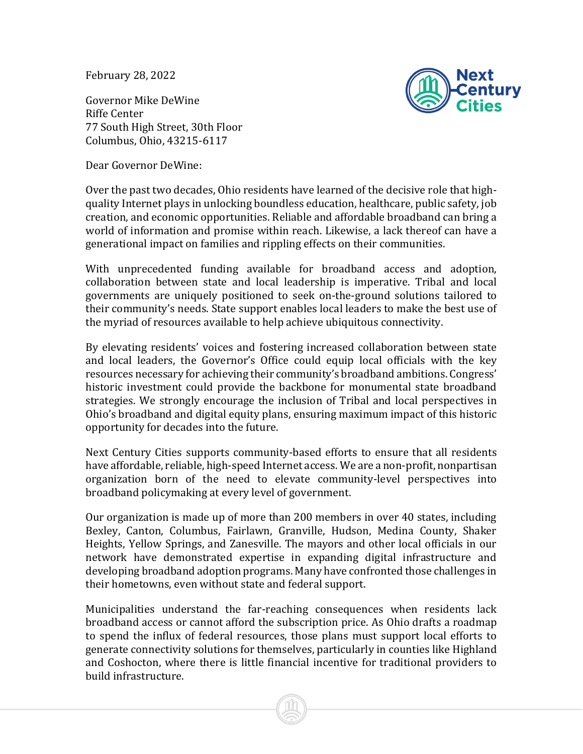February 28, 2022

Governor Mike DeWine Riffe Center 77 South High Street, 30th Floor Columbus, Ohio, 43215-6117

Dear Governor DeWine:



Over the past two decades, Ohio residents have learned of the decisive role that highquality Internet plays in unlocking boundless education, healthcare, public safety, job creation, and economic opportunities. Reliable and affordable broadband can bring a world of information and promise within reach. Likewise, a lack thereof can have a generational impact on families and rippling effects on their communities.

With unprecedented funding available for broadband access and adoption, collaboration between state and local leadership is imperative. Tribal and local governments are uniquely positioned to seek on-the-ground solutions tailored to their community's needs. State support enables local leaders to make the best use of the myriad of resources available to help achieve ubiquitous connectivity.

By elevating residents' voices and fostering increased collaboration between state and local leaders, the Governor's Office could equip local officials with the key resources necessary for achieving their community's broadband ambitions. Congress' historic investment could provide the backbone for monumental state broadband strategies. We strongly encourage the inclusion of Tribal and local perspectives in Ohio's broadband and digital equity plans, ensuring maximum impact of this historic opportunity for decades into the future.

Next Century Cities supports community-based efforts to ensure that all residents have affordable, reliable, high-speed Internet access. We are a non-profit, nonpartisan organization born of the need to elevate community-level perspectives into broadband policymaking at every level of government.

Our organization is made up of more than 200 members in over 40 states, including Bexley, Canton, Columbus, Fairlawn, Granville, Hudson, Medina County, Shaker Heights, Yellow Springs, and Zanesville. The mayors and other local officials in our network have demonstrated expertise in expanding digital infrastructure and developing broadband adoption programs. Many have confronted those challenges in their hometowns, even without state and federal support.

Municipalities understand the far-reaching consequences when residents lack broadband access or cannot afford the subscription price. As Ohio drafts a roadmap to spend the influx of federal resources, those plans must support local efforts to generate connectivity solutions for themselves, particularly in counties like Highland and Coshocton, where there is little financial incentive for traditional providers to build infrastructure.